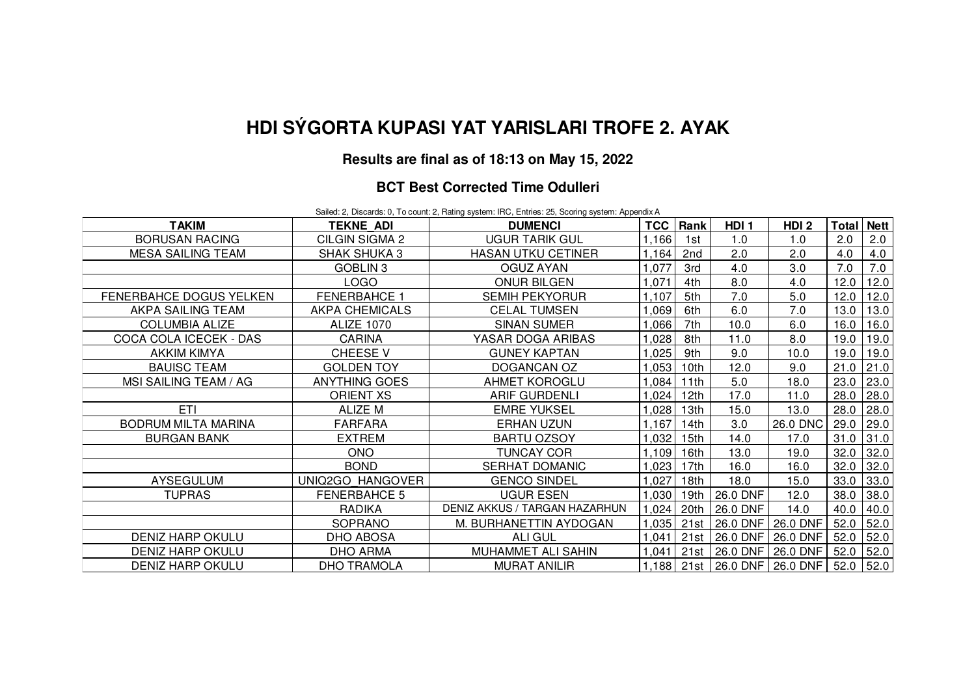# **HDI SÝGORTA KUPASI YAT YARISLARI TROFE 2. AYAK**

## **Results are final as of 18:13 on May 15, 2022**

### **BCT Best Corrected Time Odulleri**

Sailed: 2, Discards: 0, To count: 2, Rating system: IRC, Entries: 25, Scoring system: Appendix A

| <b>TAKIM</b>               | <b>TEKNE ADI</b>     | <b>DUMENCI</b>                | TCC   | Rank             | HDI <sub>1</sub> | HDI <sub>2</sub> | Total | <b>Nett</b> |
|----------------------------|----------------------|-------------------------------|-------|------------------|------------------|------------------|-------|-------------|
| <b>BORUSAN RACING</b>      | CILGIN SIGMA 2       | UGUR TARIK GUL                | 1,166 | 1st              | 1.0              | 1.0              | 2.0   | 2.0         |
| <b>MESA SAILING TEAM</b>   | <b>SHAK SHUKA 3</b>  | <b>HASAN UTKU CETINER</b>     | 1,164 | 2nd              | 2.0              | 2.0              | 4.0   | 4.0         |
|                            | GOBLIN 3             | <b>OGUZ AYAN</b>              | 1,077 | 3rd              | 4.0              | 3.0              | 7.0   | 7.0         |
|                            | <b>LOGO</b>          | <b>ONUR BILGEN</b>            | ,071  | 4th              | 8.0              | 4.0              | 12.0  | 12.0        |
| FENERBAHCE DOGUS YELKEN    | <b>FENERBAHCE 1</b>  | <b>SEMIH PEKYORUR</b>         | 1,107 | 5th              | 7.0              | 5.0              | 12.0  | 12.0        |
| AKPA SAILING TEAM          | AKPA CHEMICALS       | <b>CELAL TUMSEN</b>           | ,069  | 6th              | 6.0              | 7.0              | 13.0  | 13.0        |
| <b>COLUMBIA ALIZE</b>      | <b>ALIZE 1070</b>    | <b>SINAN SUMER</b>            | ,066  | 7th              | 10.0             | 6.0              | 16.0  | 16.0        |
| COCA COLA ICECEK - DAS     | <b>CARINA</b>        | YASAR DOGA ARIBAS             | ,028  | 8th              | 11.0             | 8.0              | 19.0  | 19.0        |
| <b>AKKIM KIMYA</b>         | <b>CHEESE V</b>      | <b>GUNEY KAPTAN</b>           | ,025  | 9th              | 9.0              | 10.0             | 19.0  | 19.0        |
| <b>BAUISC TEAM</b>         | <b>GOLDEN TOY</b>    | DOGANCAN OZ                   | ,053  | 10 <sub>th</sub> | 12.0             | 9.0              | 21.0  | 21.0        |
| MSI SAILING TEAM / AG      | <b>ANYTHING GOES</b> | <b>AHMET KOROGLU</b>          | ,084  | 11th             | 5.0              | 18.0             | 23.0  | 23.0        |
|                            | <b>ORIENT XS</b>     | <b>ARIF GURDENLI</b>          | ,024  | 12 <sub>th</sub> | 17.0             | 11.0             | 28.0  | 28.0        |
| ETI                        | ALIZE M              | <b>EMRE YUKSEL</b>            | ,028  | 13 <sub>th</sub> | 15.0             | 13.0             | 28.0  | 28.0        |
| <b>BODRUM MILTA MARINA</b> | <b>FARFARA</b>       | ERHAN UZUN                    | 1,167 | 14th             | 3.0              | 26.0 DNC         | 29.0  | 29.0        |
| <b>BURGAN BANK</b>         | <b>EXTREM</b>        | <b>BARTU OZSOY</b>            | 1,032 | 15 <sub>th</sub> | 14.0             | 17.0             | 31.0  | 31.0        |
|                            | <b>ONO</b>           | <b>TUNCAY COR</b>             | 1,109 | 16th             | 13.0             | 19.0             | 32.0  | 32.0        |
|                            | <b>BOND</b>          | SERHAT DOMANIC                | 1,023 | 17th             | 16.0             | 16.0             | 32.0  | 32.0        |
| AYSEGULUM                  | UNIQ2GO HANGOVER     | <b>GENCO SINDEL</b>           | 1,027 | 18 <sub>th</sub> | 18.0             | 15.0             | 33.0  | 33.0        |
| <b>TUPRAS</b>              | <b>FENERBAHCE 5</b>  | <b>UGUR ESEN</b>              | 1,030 | 19th             | 26.0 DNF         | 12.0             | 38.0  | 38.0        |
|                            | <b>RADIKA</b>        | DENIZ AKKUS / TARGAN HAZARHUN | 1,024 | 20th             | 26.0 DNF         | 14.0             | 40.0  | 40.0        |
|                            | SOPRANO              | M. BURHANETTIN AYDOGAN        | 1,035 | 21st             | 26.0 DNF         | 26.0 DNF         | 52.0  | 52.0        |
| <b>DENIZ HARP OKULU</b>    | DHO ABOSA            | <b>ALI GUL</b>                | 1,041 |                  | 21st 26.0 DNF    | 26.0 DNF         | 52.0  | 52.0        |
| <b>DENIZ HARP OKULU</b>    | DHO ARMA             | MUHAMMET ALI SAHIN            | ,041  |                  | 21st 26.0 DNF    | 26.0 DNF         | 52.0  | 52.0        |
| <b>DENIZ HARP OKULU</b>    | <b>DHO TRAMOLA</b>   | <b>MURAT ANILIR</b>           | 1,188 |                  | 21st 26.0 DNF    | 26.0 DNF         | 52.0  | 52.0        |